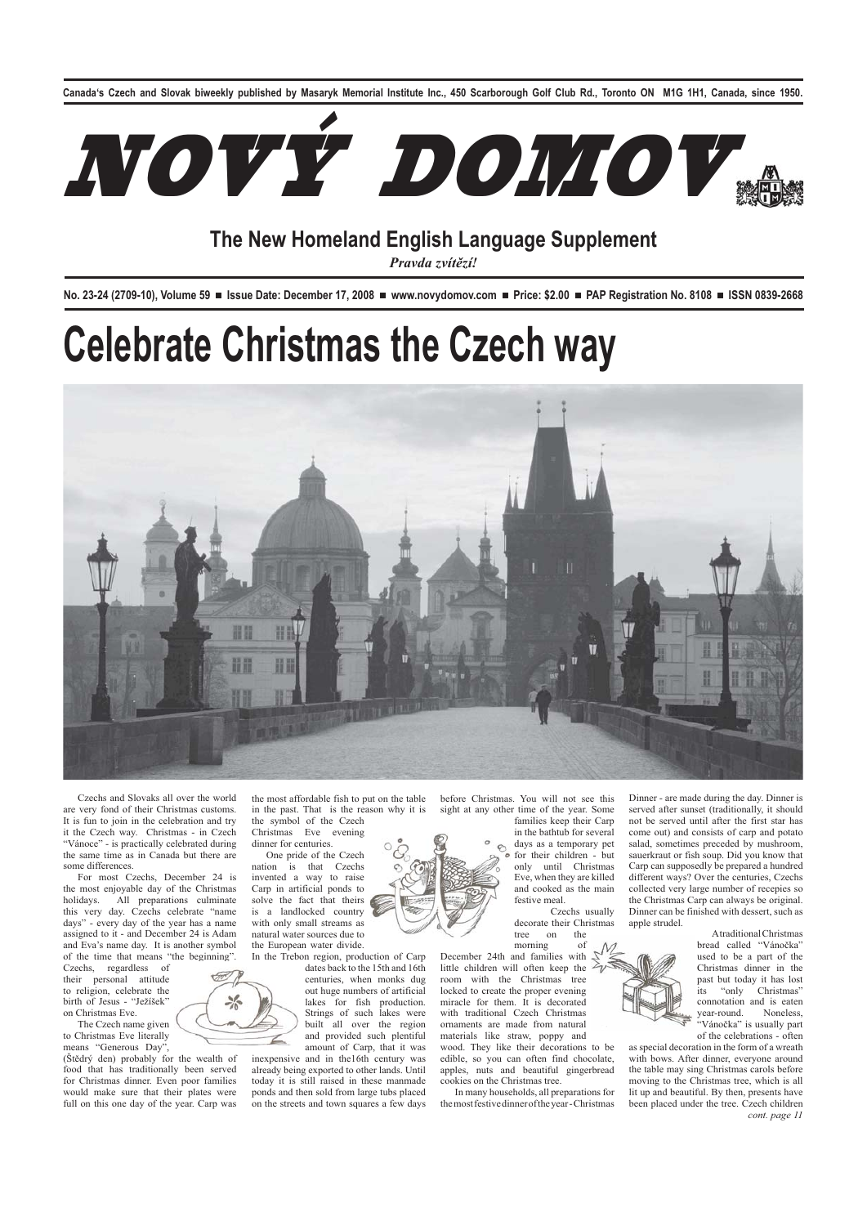**Canada's Czech and Slovak biweekly published by Masaryk Memorial Institute Inc., 450 Scarborough Golf Club Rd., Toronto ON M1G 1H1, Canada, since 1950.**



## **The New Homeland English Language Supplement**

*Pravda zvítězí!*

No. 23-24 (2709-10), Volume 59 **■** Issue Date: December 17, 2008 ■ www.novydomov.com ■ Price: \$2.00 ■ PAP Registration No. 8108 ■ ISSN 0839-2668

# **Celebrate Christmas the Czech way**



Czechs and Slovaks all over the world are very fond of their Christmas customs. It is fun to join in the celebration and try it the Czech way. Christmas - in Czech 'Vánoce" - is practically celebrated during the same time as in Canada but there are some differences.

For most Czechs, December 24 is the most enjoyable day of the Christmas holidays. All preparations culminate this very day. Czechs celebrate "name days" - every day of the year has a name assigned to it - and December 24 is Adam and Eva's name day. It is another symbol of the time that means "the beginning".

Czechs, regardless of their personal attitude to religion, celebrate the birth of Jesus - "Ježíšek" on Christmas Eve.

The Czech name given to Christmas Eve literally means "Generous Day"

(Štědrý den) probably for the wealth of food that has traditionally been served for Christmas dinner. Even poor families would make sure that their plates were full on this one day of the year. Carp was the most affordable fish to put on the table in the past. That is the reason why it is the symbol of the Czech

Christmas Eve evening dinner for centuries.

One pride of the Czech<br>nation is that Czechs is that Czechs invented a way to raise Carp in artificial ponds to solve the fact that theirs is a landlocked country with only small streams as natural water sources due to the European water divide.

In the Trebon region, production of Carp dates back to the 15th and 16th centuries, when monks dug out huge numbers of artificial lakes for fish production. Strings of such lakes were built all over the region and provided such plentiful amount of Carp, that it was

inexpensive and in the16th century was already being exported to other lands. Until today it is still raised in these manmade ponds and then sold from large tubs placed on the streets and town squares a few days before Christmas. You will not see this sight at any other time of the year. Some families keep their Carp

in the bathtub for several days as a temporary pet for their children - but only until Christmas Eve, when they are killed and cooked as the main festive meal.

 Czechs usually decorate their Christmas tree on

morning of December 24th and families with little children will often keep the<br>room with the Christmas tree room with the Christmas locked to create the proper evening miracle for them. It is decorated with traditional Czech Christmas ornaments are made from natural materials like straw, poppy and wood. They like their decorations to be

edible, so you can often find chocolate, apples, nuts and beautiful gingerbread cookies on the Christmas tree.

In many households, all preparations for the most festive dinner of the year - Christmas Dinner - are made during the day. Dinner is served after sunset (traditionally, it should not be served until after the first star has come out) and consists of carp and potato salad, sometimes preceded by mushroom, sauerkraut or fish soup. Did you know that Carp can supposedly be prepared a hundred different ways? Over the centuries, Czechs collected very large number of recepies so the Christmas Carp can always be original. Dinner can be finished with dessert, such as apple strudel.

> A traditional Christmas bread called "Vánočka" used to be a part of the Christmas dinner in the past but today it has lost its "only Christmas" connotation and is eaten<br>year-round. Noneless, year-round. "Vánočka" is usually part of the celebrations - often

as special decoration in the form of a wreath with bows. After dinner, everyone around the table may sing Christmas carols before moving to the Christmas tree, which is all lit up and beautiful. By then, presents have been placed under the tree. Czech children *cont. page 11*

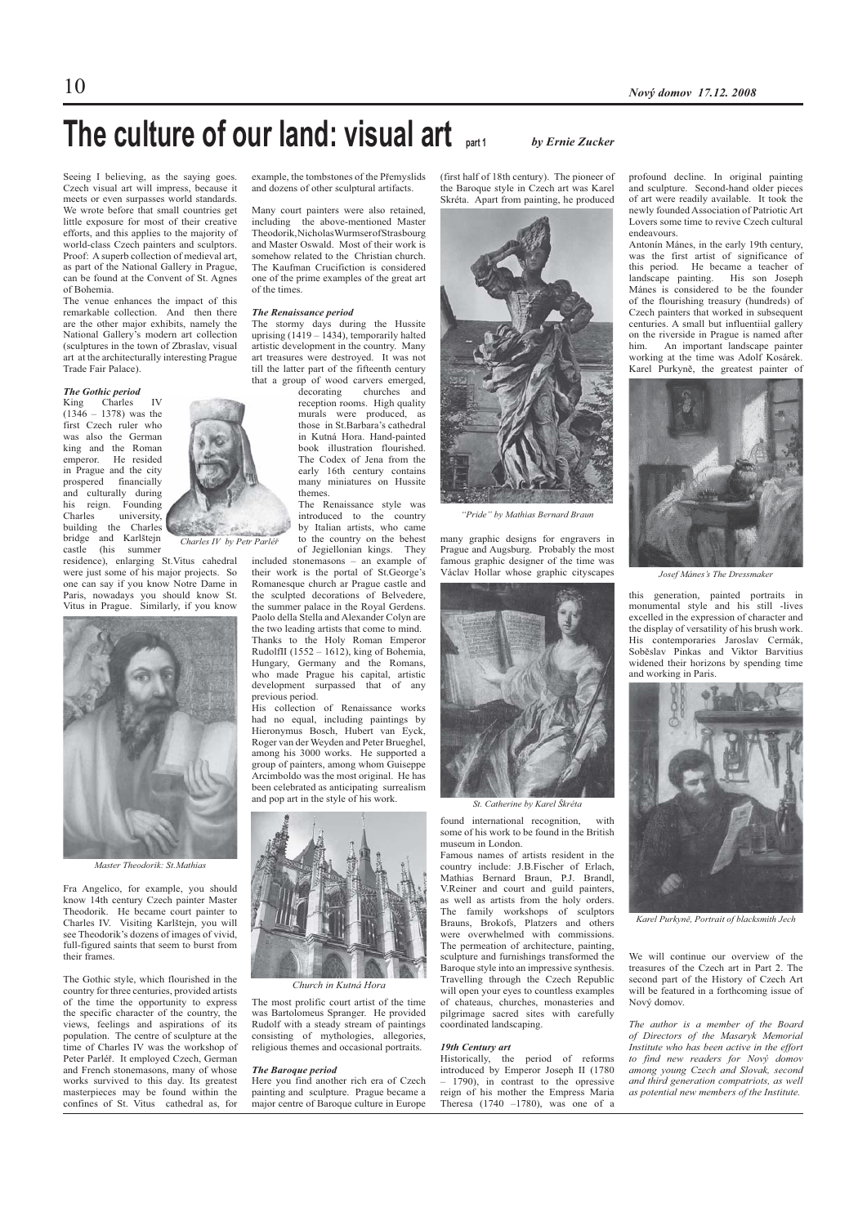## **The culture of our land: visual art part 1** *by Ernie Zucker*

Seeing I believing, as the saying goes. Czech visual art will impress, because it meets or even surpasses world standards. We wrote before that small countries get little exposure for most of their creative efforts, and this applies to the majority of world-class Czech painters and sculptors. Proof: A superb collection of medieval art, as part of the National Gallery in Prague, can be found at the Convent of St. Agnes of Bohemia.

The venue enhances the impact of this remarkable collection. And then there are the other major exhibits, namely the National Gallery's modern art collection (sculptures in the town of Zbraslav, visual art at the architecturally interesting Prague Trade Fair Palace).

## *The Gothic period*

King Charles IV (1346 – 1378) was the first Czech ruler who was also the German king and the Roman<br>emperor. He resided He resided in Prague and the city prospered financially and culturally during his reign. Founding Charles university, building the Charles bridge and Karlštejn castle (his summer

residence), enlarging St.Vitus cahedral were just some of his major projects. So one can say if you know Notre Dame in Paris, nowadays you should know St. Vitus in Prague. Similarly, if you know



*Master Theodorik: St.Mathias*

Fra Angelico, for example, you should know 14th century Czech painter Master Theodorik. He became court painter to Charles IV. Visiting Karlštejn, you will see Theodorik's dozens of images of vivid, full-figured saints that seem to burst from their frames.

The Gothic style, which flourished in the country for three centuries, provided artists of the time the opportunity to express the specific character of the country, the views, feelings and aspirations of its population. The centre of sculpture at the time of Charles IV was the workshop of Peter Parléř. It employed Czech, German and French stonemasons, many of whose works survived to this day. Its greatest masterpieces may be found within the confines of St. Vitus cathedral as, for

example, the tombstones of the Přemyslids and dozens of other sculptural artifacts.

Many court painters were also retained, including the above-mentioned Master Theodorik, Nicholas Wurmser of Strasbourg and Master Oswald. Most of their work is somehow related to the Christian church. The Kaufman Crucifiction is considered one of the prime examples of the great art of the times.

### *The Renaissance period*

The stormy days during the Hussite uprising  $(1419 - 1434)$ , temporarily halted artistic development in the country. Many art treasures were destroyed. It was not till the latter part of the fifteenth century that a group of wood carvers emerged,<br>decorating churches and

 $decorating$ reception rooms. High quality murals were produced as those in St.Barbara's cathedral in Kutná Hora. Hand-painted book illustration flourished. The Codex of Jena from the early 16th century contains many miniatures on Hussite themes.

The Renaissance style was introduced to the country by Italian artists, who came to the country on the behest

of Jegiellonian kings. They included stonemasons – an example of their work is the portal of St.George's Romanesque church ar Prague castle and the sculpted decorations of Belvedere, the summer palace in the Royal Gerdens. Paolo della Stella and Alexander Colyn are the two leading artists that come to mind. Thanks to the Holy Roman Emperor RudolfII (1552 – 1612), king of Bohemia, Hungary, Germany and the Romans, who made Prague his capital, artistic development surpassed that of any previous period.

His collection of Renaissance works had no equal, including paintings by Hieronymus Bosch, Hubert van Eyck, Roger van der Weyden and Peter Brueghel, among his 3000 works. He supported a group of painters, among whom Guiseppe  $\frac{1}{2}$  Arcimboldo was the most original. He has been celebrated as anticipating surrealism and pop art in the style of his work.



*Church in Kutná Hora*

The most prolific court artist of the time was Bartolomeus Spranger. He provided Rudolf with a steady stream of paintings consisting of mythologies, allegories, religious themes and occasional portraits.

## *The Baroque period*

Here you find another rich era of Czech painting and sculpture. Prague became a major centre of Baroque culture in Europe

(first half of 18th century). The pioneer of the Baroque style in Czech art was Karel Skréta. Apart from painting, he produced



*"Pride" by Mathias Bernard Braun*

many graphic designs for engravers in Prague and Augsburg. Probably the most famous graphic designer of the time was Václav Hollar whose graphic cityscapes



*St. Catherine by Karel Škréta*

found international recognition, with some of his work to be found in the British museum in London.

Famous names of artists resident in the country include: J.B.Fischer of Erlach, Mathias Bernard Braun, P.J. Brandl, V.Reiner and court and guild painters, as well as artists from the holy orders. The family workshops of sculptors Brauns, Brokofs, Platzers and others were overwhelmed with commissions. The permeation of architecture, painting, sculpture and furnishings transformed the Baroque style into an impressive synthesis. Travelling through the Czech Republic will open your eyes to countless examples of chateaus, churches, monasteries and pilgrimage sacred sites with carefully coordinated landscaping.

## *19th Century art*

Historically, the period of reforms introduced by Emperor Joseph II (1780 – 1790), in contrast to the opressive reign of his mother the Empress Maria Theresa  $(1740 - 1780)$ , was one of a profound decline. In original painting and sculpture. Second-hand older pieces of art were readily available. It took the newly founded Association of Patriotic Art Lovers some time to revive Czech cultural endeavours.

Antonín Mánes, in the early 19th century, was the first artist of significance of this period. He became a teacher of landscape painting. His son Joseph landscape painting. Mánes is considered to be the founder of the flourishing treasury (hundreds) of Czech painters that worked in subsequent centuries. A small but influentiial gallery on the riverside in Prague is named after<br>him An important landscape painter An important landscape painter working at the time was Adolf Kosárek. Karel Purkyně, the greatest painter of



*Josef Mánes's The Dressmaker*

this generation, painted portraits in monumental style and his still -lives excelled in the expression of character and the display of versatility of his brush work. His contemporaries Jaroslav Cermák, Soběslav Pinkas and Viktor Barvitius widened their horizons by spending time and working in Paris.



*Karel Purkyně, Portrait of blacksmith Jech*

We will continue our overview of the treasures of the Czech art in Part 2. The second part of the History of Czech Art will be featured in a forthcoming issue of Nový domov.

*The author is a member of the Board of Directors of the Masaryk Memorial Institute who has been active in the effort to find new readers for Nový domov among young Czech and Slovak, second and third generation compatriots, as well as potential new members of the Institute.* 



*Charles IV by Petr Parléř*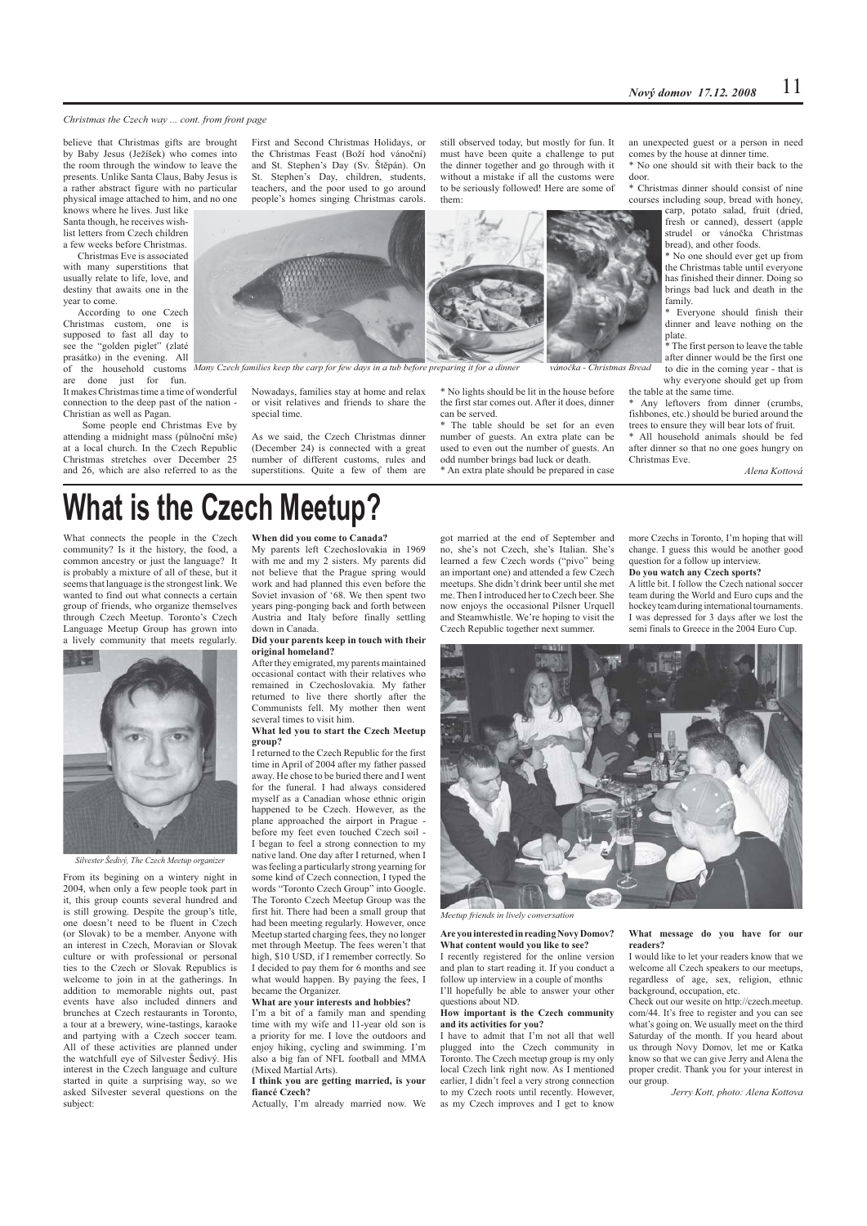## *Christmas the Czech way ... cont. from front page*

believe that Christmas gifts are brought by Baby Jesus (Ježíšek) who comes into the room through the window to leave the presents. Unlike Santa Claus, Baby Jesus is a rather abstract figure with no particular physical image attached to him, and no one knows where he lives. Just like Santa though, he receives wish-

list letters from Czech children a few weeks before Christmas. Christmas Eve is associated

with many superstitions that usually relate to life, love, and destiny that awaits one in the year to come.

According to one Czech Christmas custom, one is supposed to fast all day to see the "golden piglet" (zlaté prasátko) in the evening. All of the household customs<br>are done just for fun done just for fun.

It makes Christmas time a time of wonderful connection to the deep past of the nation - Christian as well as Pagan.

 Some people end Christmas Eve by attending a midnight mass (půlnoční mše) at a local church. In the Czech Republic Christmas stretches over December 25 and 26, which are also referred to as the

First and Second Christmas Holidays, or the Christmas Feast (Boží hod vánoční) and St. Stephen's Day (Sv. Štěpán). On St. Stephen's Day, children, students, teachers, and the poor used to go around people's homes singing Christmas carols.

still observed today, but mostly for fun. It must have been quite a challenge to put the dinner together and go through with it without a mistake if all the customs were to be seriously followed! Here are some of them:



\* No lights should be lit in the house before the first star comes out. After it does, dinner can be served.

The table should be set for an even number of guests. An extra plate can be used to even out the number of guests. An odd number brings bad luck or death. \* An extra plate should be prepared in case an unexpected guest or a person in need comes by the house at dinner time.

\* No one should sit with their back to the door.

\* Christmas dinner should consist of nine courses including soup, bread with honey,

carp, potato salad, fruit (dried, fresh or canned), dessert (apple strudel or vánočka Christmas bread), and other foods.

\* No one should ever get up from the Christmas table until everyone has finished their dinner. Doing so brings bad luck and death in the family.

Everyone should finish their dinner and leave nothing on the plate.

.<br>\* The first person to leave the table after dinner would be the first one to die in the coming year - that is why everyone should get up from the table at the same time.

\* Any leftovers from dinner (crumbs, fishbones, etc.) should be buried around the trees to ensure they will bear lots of fruit.

\* All household animals should be fed after dinner so that no one goes hungry on Christmas Eve.

*Alena Kottová*

# **What is the Czech Meetup?**

What connects the people in the Czech community? Is it the history, the food, a common ancestry or just the language? It is probably a mixture of all of these, but it seems that language is the strongest link. We wanted to find out what connects a certain group of friends, who organize themselves through Czech Meetup. Toronto's Czech Language Meetup Group has grown into a lively community that meets regularly.



*Silvester Šedivý, The Czech Meetup organizer*

From its begining on a wintery night in 2004, when only a few people took part in it, this group counts several hundred and is still growing. Despite the group's title, one doesn't need to be fluent in Czech (or Slovak) to be a member. Anyone with an interest in Czech, Moravian or Slovak culture or with professional or personal ties to the Czech or Slovak Republics is welcome to join in at the gatherings. In addition to memorable nights out, past events have also included dinners and brunches at Czech restaurants in Toronto, a tour at a brewery, wine-tastings, karaoke and partying with a Czech soccer team. All of these activities are planned under the watchfull eye of Silvester Šedivý. His interest in the Czech language and culture started in quite a surprising way, so we asked Silvester several questions on the subject:

## **When did you come to Canada?**

My parents left Czechoslovakia in 1969 with me and my 2 sisters. My parents did not believe that the Prague spring would work and had planned this even before the Soviet invasion of '68. We then spent two years ping-ponging back and forth between Austria and Italy before finally settling down in Canada

Nowadays, families stay at home and relax or visit relatives and friends to share the

As we said, the Czech Christmas dinner (December 24) is connected with a great number of different customs, rules and superstitions. Quite a few of them are

special time.

## **Did your parents keep in touch with their original homeland?**

After they emigrated, my parents maintained occasional contact with their relatives who remained in Czechoslovakia. My father returned to live there shortly after the Communists fell. My mother then went several times to visit him.

## **What led you to start the Czech Meetup group?**

I returned to the Czech Republic for the first time in April of 2004 after my father passed away. He chose to be buried there and I went for the funeral. I had always considered myself as a Canadian whose ethnic origin happened to be Czech. However, as the plane approached the airport in Prague before my feet even touched Czech soil - I began to feel a strong connection to my native land. One day after I returned, when I was feeling a particularly strong yearning for some kind of Czech connection, I typed the words "Toronto Czech Group" into Google. The Toronto Czech Meetup Group was the first hit. There had been a small group that had been meeting regularly. However, once Meetup started charging fees, they no longer met through Meetup. The fees weren't that high, \$10 USD, if I remember correctly. So I decided to pay them for 6 months and see what would happen. By paying the fees, I became the Organizer.

### **What are your interests and hobbies?**

I'm a bit of a family man and spending time with my wife and 11-year old son is a priority for me. I love the outdoors and enjoy hiking, cycling and swimming. I'm also a big fan of NFL football and MMA (Mixed Martial Arts).

## **I think you are getting married, is your fiancé Czech?**

Actually, I'm already married now. We

got married at the end of September and no, she's not Czech, she's Italian. She's learned a few Czech words ("pivo" being an important one) and attended a few Czech meetups. She didn't drink beer until she met me. Then I introduced her to Czech beer. She now enjoys the occasional Pilsner Urquell and Steamwhistle. We're hoping to visit the Czech Republic together next summer.

more Czechs in Toronto, I'm hoping that will change. I guess this would be another good question for a follow up interview. **Do you watch any Czech sports?** 

A little bit. I follow the Czech national soccer team during the World and Euro cups and the hockey team during international tournaments. I was depressed for 3 days after we lost the semi finals to Greece in the 2004 Euro Cup.



*Meetup friends in lively conversation*

## **Are you interested in reading Novy Domov? What content would you like to see?**  I recently registered for the online version

and plan to start reading it. If you conduct a follow up interview in a couple of months I'll hopefully be able to answer your other questions about ND.

## **How important is the Czech community and its activities for you?**

I have to admit that I'm not all that well plugged into the Czech community in Toronto. The Czech meetup group is my only local Czech link right now. As I mentioned earlier, I didn't feel a very strong connection to my Czech roots until recently. However, as my Czech improves and I get to know

## **What message do you have for our readers?**

I would like to let your readers know that we welcome all Czech speakers to our meetups, regardless of age, sex, religion, ethnic background, occupation, etc.

Check out our wesite on http://czech.meetup. com/44. It's free to register and you can see what's going on. We usually meet on the third Saturday of the month. If you heard about us through Novy Domov, let me or Katka know so that we can give Jerry and Alena the proper credit. Thank you for your interest in our group.

*Jerry Kott, photo: Alena Kottova*